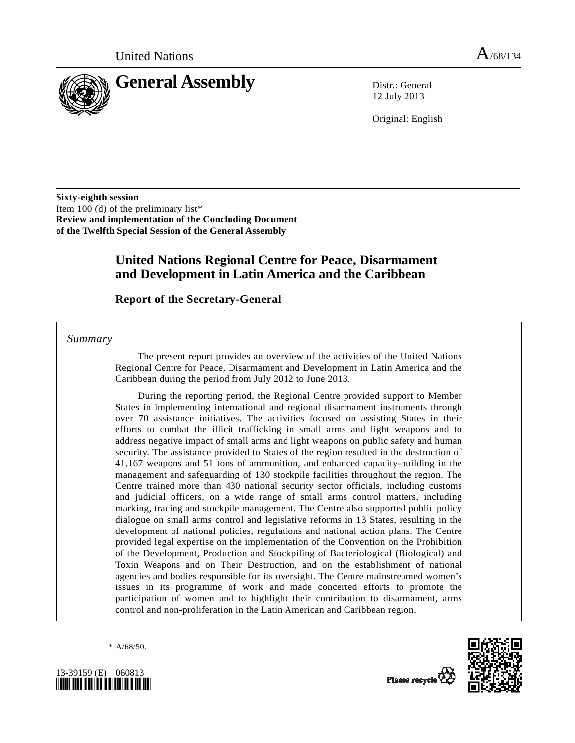

12 July 2013

Original: English

**Sixty-eighth session**  Item 100 (d) of the preliminary list\* **Review and implementation of the Concluding Document of the Twelfth Special Session of the General Assembly** 

# **United Nations Regional Centre for Peace, Disarmament and Development in Latin America and the Caribbean**

 **Report of the Secretary-General** 

 *Summary* 

 The present report provides an overview of the activities of the United Nations Regional Centre for Peace, Disarmament and Development in Latin America and the Caribbean during the period from July 2012 to June 2013.

 During the reporting period, the Regional Centre provided support to Member States in implementing international and regional disarmament instruments through over 70 assistance initiatives. The activities focused on assisting States in their efforts to combat the illicit trafficking in small arms and light weapons and to address negative impact of small arms and light weapons on public safety and human security. The assistance provided to States of the region resulted in the destruction of 41,167 weapons and 51 tons of ammunition, and enhanced capacity-building in the management and safeguarding of 130 stockpile facilities throughout the region. The Centre trained more than 430 national security sector officials, including customs and judicial officers, on a wide range of small arms control matters, including marking, tracing and stockpile management. The Centre also supported public policy dialogue on small arms control and legislative reforms in 13 States, resulting in the development of national policies, regulations and national action plans. The Centre provided legal expertise on the implementation of the Convention on the Prohibition of the Development, Production and Stockpiling of Bacteriological (Biological) and Toxin Weapons and on Their Destruction, and on the establishment of national agencies and bodies responsible for its oversight. The Centre mainstreamed women's issues in its programme of work and made concerted efforts to promote the participation of women and to highlight their contribution to disarmament, arms control and non-proliferation in the Latin American and Caribbean region.

\* A/68/50.



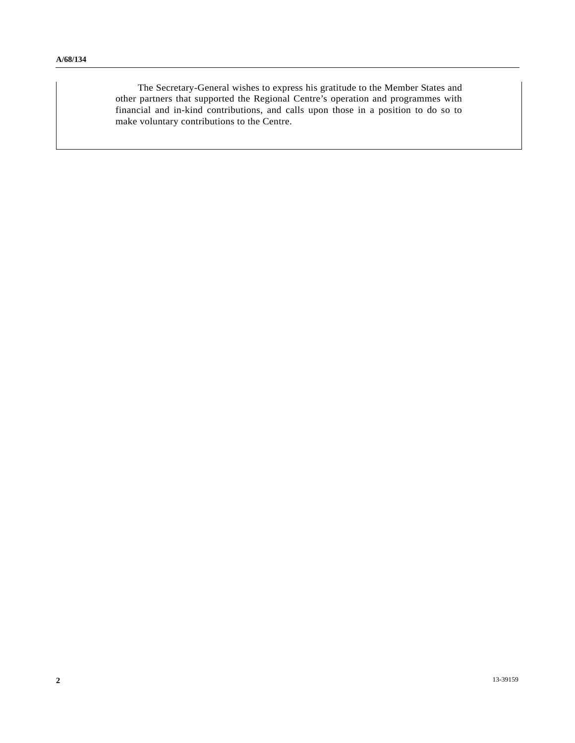The Secretary-General wishes to express his gratitude to the Member States and other partners that supported the Regional Centre's operation and programmes with financial and in-kind contributions, and calls upon those in a position to do so to make voluntary contributions to the Centre.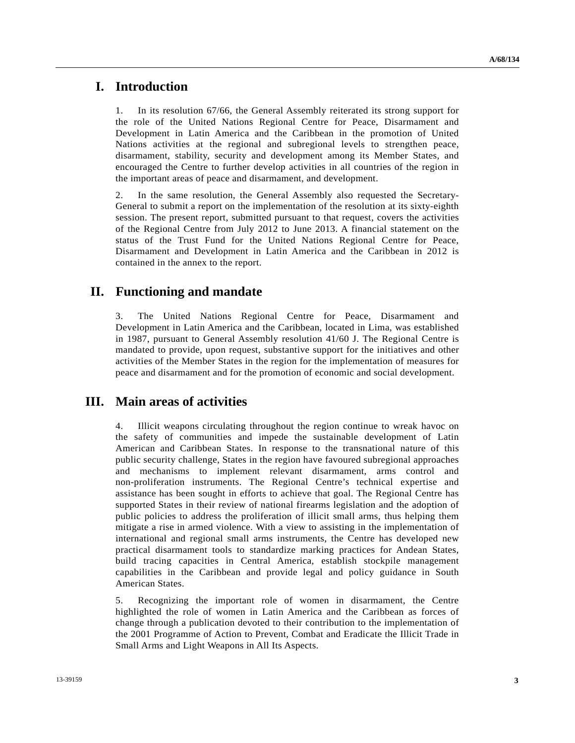## **I. Introduction**

1. In its resolution 67/66, the General Assembly reiterated its strong support for the role of the United Nations Regional Centre for Peace, Disarmament and Development in Latin America and the Caribbean in the promotion of United Nations activities at the regional and subregional levels to strengthen peace, disarmament, stability, security and development among its Member States, and encouraged the Centre to further develop activities in all countries of the region in the important areas of peace and disarmament, and development.

2. In the same resolution, the General Assembly also requested the Secretary-General to submit a report on the implementation of the resolution at its sixty-eighth session. The present report, submitted pursuant to that request, covers the activities of the Regional Centre from July 2012 to June 2013. A financial statement on the status of the Trust Fund for the United Nations Regional Centre for Peace, Disarmament and Development in Latin America and the Caribbean in 2012 is contained in the annex to the report.

# **II. Functioning and mandate**

3. The United Nations Regional Centre for Peace, Disarmament and Development in Latin America and the Caribbean, located in Lima, was established in 1987, pursuant to General Assembly resolution 41/60 J. The Regional Centre is mandated to provide, upon request, substantive support for the initiatives and other activities of the Member States in the region for the implementation of measures for peace and disarmament and for the promotion of economic and social development.

# **III. Main areas of activities**

4. Illicit weapons circulating throughout the region continue to wreak havoc on the safety of communities and impede the sustainable development of Latin American and Caribbean States. In response to the transnational nature of this public security challenge, States in the region have favoured subregional approaches and mechanisms to implement relevant disarmament, arms control and non-proliferation instruments. The Regional Centre's technical expertise and assistance has been sought in efforts to achieve that goal. The Regional Centre has supported States in their review of national firearms legislation and the adoption of public policies to address the proliferation of illicit small arms, thus helping them mitigate a rise in armed violence. With a view to assisting in the implementation of international and regional small arms instruments, the Centre has developed new practical disarmament tools to standardize marking practices for Andean States, build tracing capacities in Central America, establish stockpile management capabilities in the Caribbean and provide legal and policy guidance in South American States.

5. Recognizing the important role of women in disarmament, the Centre highlighted the role of women in Latin America and the Caribbean as forces of change through a publication devoted to their contribution to the implementation of the 2001 Programme of Action to Prevent, Combat and Eradicate the Illicit Trade in Small Arms and Light Weapons in All Its Aspects.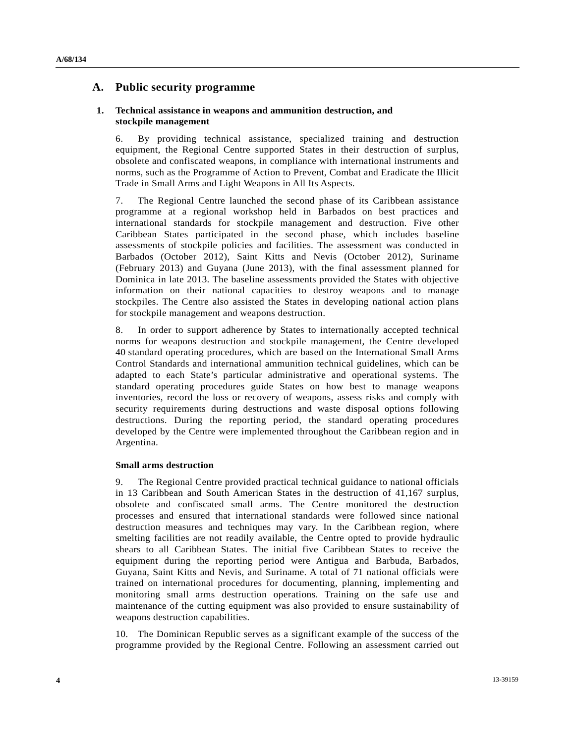### **A. Public security programme**

#### **1. Technical assistance in weapons and ammunition destruction, and stockpile management**

6. By providing technical assistance, specialized training and destruction equipment, the Regional Centre supported States in their destruction of surplus, obsolete and confiscated weapons, in compliance with international instruments and norms, such as the Programme of Action to Prevent, Combat and Eradicate the Illicit Trade in Small Arms and Light Weapons in All Its Aspects.

7. The Regional Centre launched the second phase of its Caribbean assistance programme at a regional workshop held in Barbados on best practices and international standards for stockpile management and destruction. Five other Caribbean States participated in the second phase, which includes baseline assessments of stockpile policies and facilities. The assessment was conducted in Barbados (October 2012), Saint Kitts and Nevis (October 2012), Suriname (February 2013) and Guyana (June 2013), with the final assessment planned for Dominica in late 2013. The baseline assessments provided the States with objective information on their national capacities to destroy weapons and to manage stockpiles. The Centre also assisted the States in developing national action plans for stockpile management and weapons destruction.

8. In order to support adherence by States to internationally accepted technical norms for weapons destruction and stockpile management, the Centre developed 40 standard operating procedures, which are based on the International Small Arms Control Standards and international ammunition technical guidelines, which can be adapted to each State's particular administrative and operational systems. The standard operating procedures guide States on how best to manage weapons inventories, record the loss or recovery of weapons, assess risks and comply with security requirements during destructions and waste disposal options following destructions. During the reporting period, the standard operating procedures developed by the Centre were implemented throughout the Caribbean region and in Argentina.

#### **Small arms destruction**

9. The Regional Centre provided practical technical guidance to national officials in 13 Caribbean and South American States in the destruction of 41,167 surplus, obsolete and confiscated small arms. The Centre monitored the destruction processes and ensured that international standards were followed since national destruction measures and techniques may vary. In the Caribbean region, where smelting facilities are not readily available, the Centre opted to provide hydraulic shears to all Caribbean States. The initial five Caribbean States to receive the equipment during the reporting period were Antigua and Barbuda, Barbados, Guyana, Saint Kitts and Nevis, and Suriname. A total of 71 national officials were trained on international procedures for documenting, planning, implementing and monitoring small arms destruction operations. Training on the safe use and maintenance of the cutting equipment was also provided to ensure sustainability of weapons destruction capabilities.

10. The Dominican Republic serves as a significant example of the success of the programme provided by the Regional Centre. Following an assessment carried out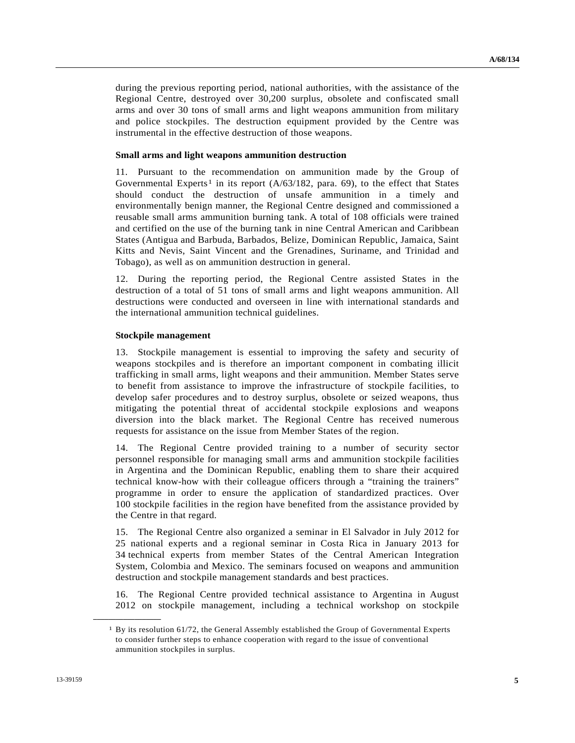during the previous reporting period, national authorities, with the assistance of the Regional Centre, destroyed over 30,200 surplus, obsolete and confiscated small arms and over 30 tons of small arms and light weapons ammunition from military and police stockpiles. The destruction equipment provided by the Centre was instrumental in the effective destruction of those weapons.

#### **Small arms and light weapons ammunition destruction**

11. Pursuant to the recommendation on ammunition made by the Group of Governmental Experts<sup>[1](#page-4-0)</sup> in its report  $(A/63/182, \text{ para. } 69)$ , to the effect that States should conduct the destruction of unsafe ammunition in a timely and environmentally benign manner, the Regional Centre designed and commissioned a reusable small arms ammunition burning tank. A total of 108 officials were trained and certified on the use of the burning tank in nine Central American and Caribbean States (Antigua and Barbuda, Barbados, Belize, Dominican Republic, Jamaica, Saint Kitts and Nevis, Saint Vincent and the Grenadines, Suriname, and Trinidad and Tobago), as well as on ammunition destruction in general.

12. During the reporting period, the Regional Centre assisted States in the destruction of a total of 51 tons of small arms and light weapons ammunition. All destructions were conducted and overseen in line with international standards and the international ammunition technical guidelines.

#### **Stockpile management**

13. Stockpile management is essential to improving the safety and security of weapons stockpiles and is therefore an important component in combating illicit trafficking in small arms, light weapons and their ammunition. Member States serve to benefit from assistance to improve the infrastructure of stockpile facilities, to develop safer procedures and to destroy surplus, obsolete or seized weapons, thus mitigating the potential threat of accidental stockpile explosions and weapons diversion into the black market. The Regional Centre has received numerous requests for assistance on the issue from Member States of the region.

14. The Regional Centre provided training to a number of security sector personnel responsible for managing small arms and ammunition stockpile facilities in Argentina and the Dominican Republic, enabling them to share their acquired technical know-how with their colleague officers through a "training the trainers" programme in order to ensure the application of standardized practices. Over 100 stockpile facilities in the region have benefited from the assistance provided by the Centre in that regard.

15. The Regional Centre also organized a seminar in El Salvador in July 2012 for 25 national experts and a regional seminar in Costa Rica in January 2013 for 34 technical experts from member States of the Central American Integration System, Colombia and Mexico. The seminars focused on weapons and ammunition destruction and stockpile management standards and best practices.

16. The Regional Centre provided technical assistance to Argentina in August 2012 on stockpile management, including a technical workshop on stockpile

<span id="page-4-0"></span>**\_\_\_\_\_\_\_\_\_\_\_\_\_\_\_\_\_\_** 

 $1$  By its resolution 61/72, the General Assembly established the Group of Governmental Experts to consider further steps to enhance cooperation with regard to the issue of conventional ammunition stockpiles in surplus.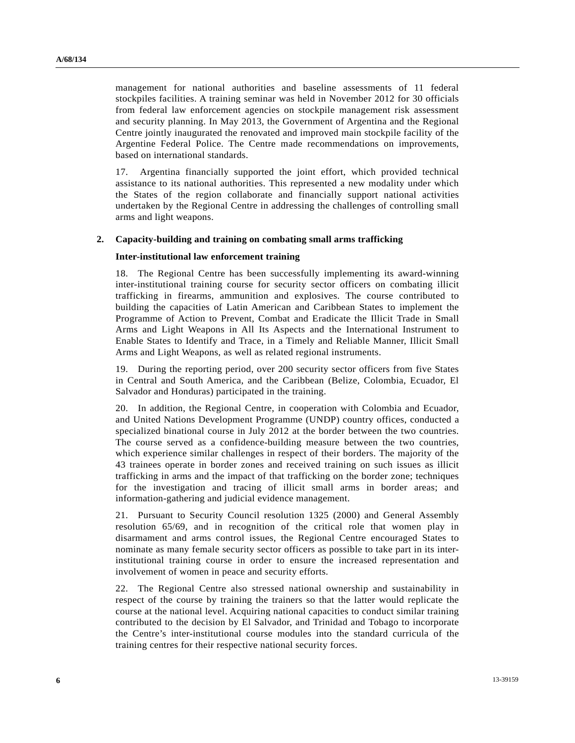management for national authorities and baseline assessments of 11 federal stockpiles facilities. A training seminar was held in November 2012 for 30 officials from federal law enforcement agencies on stockpile management risk assessment and security planning. In May 2013, the Government of Argentina and the Regional Centre jointly inaugurated the renovated and improved main stockpile facility of the Argentine Federal Police. The Centre made recommendations on improvements, based on international standards.

17. Argentina financially supported the joint effort, which provided technical assistance to its national authorities. This represented a new modality under which the States of the region collaborate and financially support national activities undertaken by the Regional Centre in addressing the challenges of controlling small arms and light weapons.

#### **2. Capacity-building and training on combating small arms trafficking**

#### **Inter-institutional law enforcement training**

18. The Regional Centre has been successfully implementing its award-winning inter-institutional training course for security sector officers on combating illicit trafficking in firearms, ammunition and explosives. The course contributed to building the capacities of Latin American and Caribbean States to implement the Programme of Action to Prevent, Combat and Eradicate the Illicit Trade in Small Arms and Light Weapons in All Its Aspects and the International Instrument to Enable States to Identify and Trace, in a Timely and Reliable Manner, Illicit Small Arms and Light Weapons, as well as related regional instruments.

19. During the reporting period, over 200 security sector officers from five States in Central and South America, and the Caribbean (Belize, Colombia, Ecuador, El Salvador and Honduras) participated in the training.

20. In addition, the Regional Centre, in cooperation with Colombia and Ecuador, and United Nations Development Programme (UNDP) country offices, conducted a specialized binational course in July 2012 at the border between the two countries. The course served as a confidence-building measure between the two countries, which experience similar challenges in respect of their borders. The majority of the 43 trainees operate in border zones and received training on such issues as illicit trafficking in arms and the impact of that trafficking on the border zone; techniques for the investigation and tracing of illicit small arms in border areas; and information-gathering and judicial evidence management.

21. Pursuant to Security Council resolution 1325 (2000) and General Assembly resolution 65/69, and in recognition of the critical role that women play in disarmament and arms control issues, the Regional Centre encouraged States to nominate as many female security sector officers as possible to take part in its interinstitutional training course in order to ensure the increased representation and involvement of women in peace and security efforts.

22. The Regional Centre also stressed national ownership and sustainability in respect of the course by training the trainers so that the latter would replicate the course at the national level. Acquiring national capacities to conduct similar training contributed to the decision by El Salvador, and Trinidad and Tobago to incorporate the Centre's inter-institutional course modules into the standard curricula of the training centres for their respective national security forces.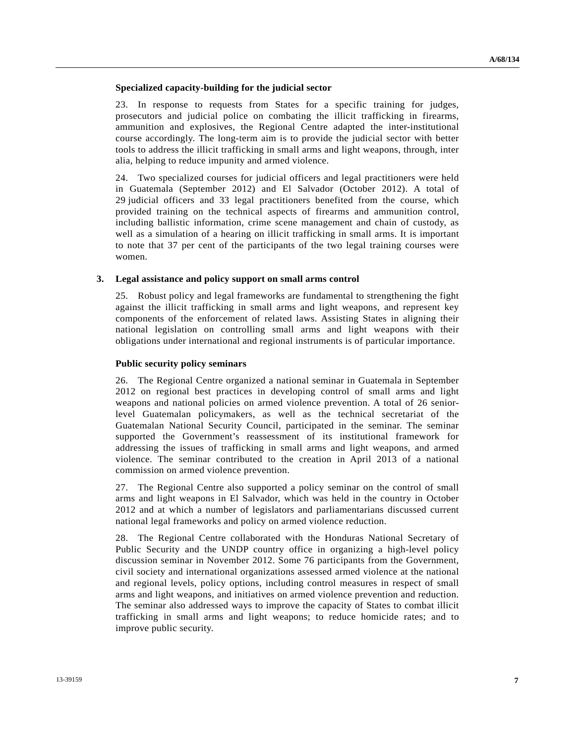#### **Specialized capacity-building for the judicial sector**

23. In response to requests from States for a specific training for judges, prosecutors and judicial police on combating the illicit trafficking in firearms, ammunition and explosives, the Regional Centre adapted the inter-institutional course accordingly. The long-term aim is to provide the judicial sector with better tools to address the illicit trafficking in small arms and light weapons, through, inter alia, helping to reduce impunity and armed violence.

24. Two specialized courses for judicial officers and legal practitioners were held in Guatemala (September 2012) and El Salvador (October 2012). A total of 29 judicial officers and 33 legal practitioners benefited from the course, which provided training on the technical aspects of firearms and ammunition control, including ballistic information, crime scene management and chain of custody, as well as a simulation of a hearing on illicit trafficking in small arms. It is important to note that 37 per cent of the participants of the two legal training courses were women.

#### **3. Legal assistance and policy support on small arms control**

25. Robust policy and legal frameworks are fundamental to strengthening the fight against the illicit trafficking in small arms and light weapons, and represent key components of the enforcement of related laws. Assisting States in aligning their national legislation on controlling small arms and light weapons with their obligations under international and regional instruments is of particular importance.

#### **Public security policy seminars**

26. The Regional Centre organized a national seminar in Guatemala in September 2012 on regional best practices in developing control of small arms and light weapons and national policies on armed violence prevention. A total of 26 seniorlevel Guatemalan policymakers, as well as the technical secretariat of the Guatemalan National Security Council, participated in the seminar. The seminar supported the Government's reassessment of its institutional framework for addressing the issues of trafficking in small arms and light weapons, and armed violence. The seminar contributed to the creation in April 2013 of a national commission on armed violence prevention.

27. The Regional Centre also supported a policy seminar on the control of small arms and light weapons in El Salvador, which was held in the country in October 2012 and at which a number of legislators and parliamentarians discussed current national legal frameworks and policy on armed violence reduction.

28. The Regional Centre collaborated with the Honduras National Secretary of Public Security and the UNDP country office in organizing a high-level policy discussion seminar in November 2012. Some 76 participants from the Government, civil society and international organizations assessed armed violence at the national and regional levels, policy options, including control measures in respect of small arms and light weapons, and initiatives on armed violence prevention and reduction. The seminar also addressed ways to improve the capacity of States to combat illicit trafficking in small arms and light weapons; to reduce homicide rates; and to improve public security.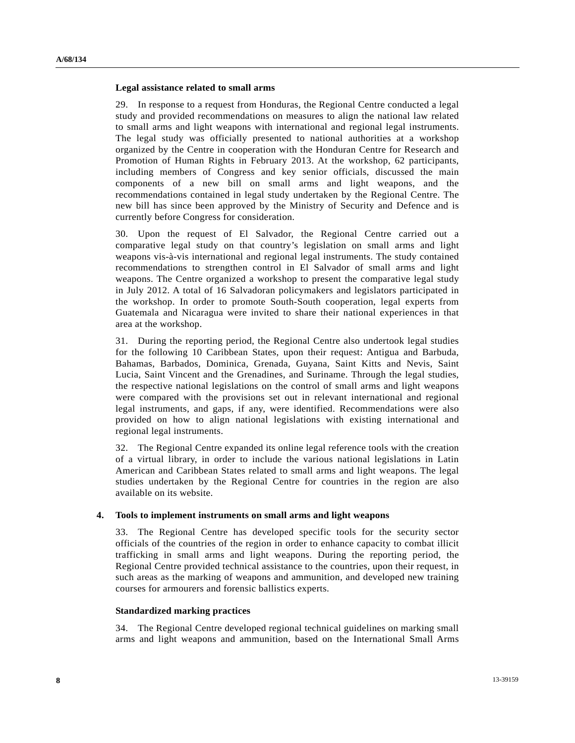#### **Legal assistance related to small arms**

29. In response to a request from Honduras, the Regional Centre conducted a legal study and provided recommendations on measures to align the national law related to small arms and light weapons with international and regional legal instruments. The legal study was officially presented to national authorities at a workshop organized by the Centre in cooperation with the Honduran Centre for Research and Promotion of Human Rights in February 2013. At the workshop, 62 participants, including members of Congress and key senior officials, discussed the main components of a new bill on small arms and light weapons, and the recommendations contained in legal study undertaken by the Regional Centre. The new bill has since been approved by the Ministry of Security and Defence and is currently before Congress for consideration.

30. Upon the request of El Salvador, the Regional Centre carried out a comparative legal study on that country's legislation on small arms and light weapons vis-à-vis international and regional legal instruments. The study contained recommendations to strengthen control in El Salvador of small arms and light weapons. The Centre organized a workshop to present the comparative legal study in July 2012. A total of 16 Salvadoran policymakers and legislators participated in the workshop. In order to promote South-South cooperation, legal experts from Guatemala and Nicaragua were invited to share their national experiences in that area at the workshop.

31. During the reporting period, the Regional Centre also undertook legal studies for the following 10 Caribbean States, upon their request: Antigua and Barbuda, Bahamas, Barbados, Dominica, Grenada, Guyana, Saint Kitts and Nevis, Saint Lucia, Saint Vincent and the Grenadines, and Suriname. Through the legal studies, the respective national legislations on the control of small arms and light weapons were compared with the provisions set out in relevant international and regional legal instruments, and gaps, if any, were identified. Recommendations were also provided on how to align national legislations with existing international and regional legal instruments.

32. The Regional Centre expanded its online legal reference tools with the creation of a virtual library, in order to include the various national legislations in Latin American and Caribbean States related to small arms and light weapons. The legal studies undertaken by the Regional Centre for countries in the region are also available on its website.

#### **4. Tools to implement instruments on small arms and light weapons**

33. The Regional Centre has developed specific tools for the security sector officials of the countries of the region in order to enhance capacity to combat illicit trafficking in small arms and light weapons. During the reporting period, the Regional Centre provided technical assistance to the countries, upon their request, in such areas as the marking of weapons and ammunition, and developed new training courses for armourers and forensic ballistics experts.

#### **Standardized marking practices**

34. The Regional Centre developed regional technical guidelines on marking small arms and light weapons and ammunition, based on the International Small Arms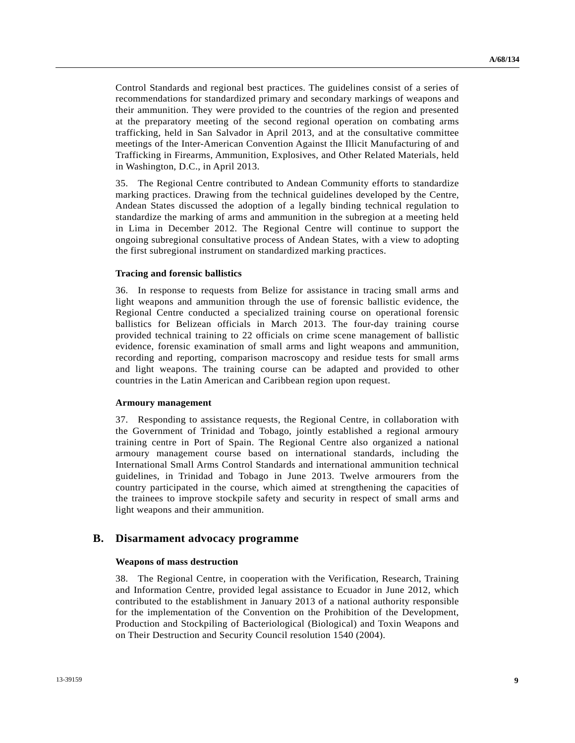Control Standards and regional best practices. The guidelines consist of a series of recommendations for standardized primary and secondary markings of weapons and their ammunition. They were provided to the countries of the region and presented at the preparatory meeting of the second regional operation on combating arms trafficking, held in San Salvador in April 2013, and at the consultative committee meetings of the Inter-American Convention Against the Illicit Manufacturing of and Trafficking in Firearms, Ammunition, Explosives, and Other Related Materials, held in Washington, D.C., in April 2013.

35. The Regional Centre contributed to Andean Community efforts to standardize marking practices. Drawing from the technical guidelines developed by the Centre, Andean States discussed the adoption of a legally binding technical regulation to standardize the marking of arms and ammunition in the subregion at a meeting held in Lima in December 2012. The Regional Centre will continue to support the ongoing subregional consultative process of Andean States, with a view to adopting the first subregional instrument on standardized marking practices.

#### **Tracing and forensic ballistics**

36. In response to requests from Belize for assistance in tracing small arms and light weapons and ammunition through the use of forensic ballistic evidence, the Regional Centre conducted a specialized training course on operational forensic ballistics for Belizean officials in March 2013. The four-day training course provided technical training to 22 officials on crime scene management of ballistic evidence, forensic examination of small arms and light weapons and ammunition, recording and reporting, comparison macroscopy and residue tests for small arms and light weapons. The training course can be adapted and provided to other countries in the Latin American and Caribbean region upon request.

#### **Armoury management**

37. Responding to assistance requests, the Regional Centre, in collaboration with the Government of Trinidad and Tobago, jointly established a regional armoury training centre in Port of Spain. The Regional Centre also organized a national armoury management course based on international standards, including the International Small Arms Control Standards and international ammunition technical guidelines, in Trinidad and Tobago in June 2013. Twelve armourers from the country participated in the course, which aimed at strengthening the capacities of the trainees to improve stockpile safety and security in respect of small arms and light weapons and their ammunition.

### **B. Disarmament advocacy programme**

#### **Weapons of mass destruction**

38. The Regional Centre, in cooperation with the Verification, Research, Training and Information Centre, provided legal assistance to Ecuador in June 2012, which contributed to the establishment in January 2013 of a national authority responsible for the implementation of the Convention on the Prohibition of the Development, Production and Stockpiling of Bacteriological (Biological) and Toxin Weapons and on Their Destruction and Security Council resolution 1540 (2004).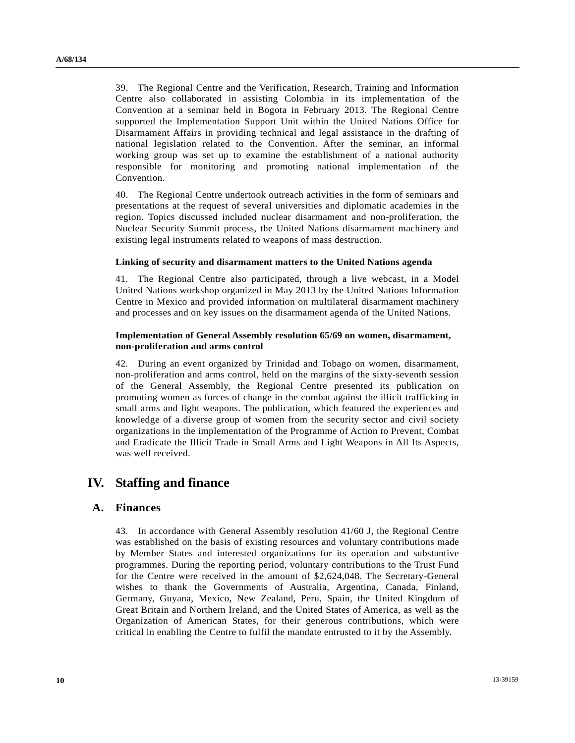39. The Regional Centre and the Verification, Research, Training and Information Centre also collaborated in assisting Colombia in its implementation of the Convention at a seminar held in Bogota in February 2013. The Regional Centre supported the Implementation Support Unit within the United Nations Office for Disarmament Affairs in providing technical and legal assistance in the drafting of national legislation related to the Convention. After the seminar, an informal working group was set up to examine the establishment of a national authority responsible for monitoring and promoting national implementation of the Convention.

40. The Regional Centre undertook outreach activities in the form of seminars and presentations at the request of several universities and diplomatic academies in the region. Topics discussed included nuclear disarmament and non-proliferation, the Nuclear Security Summit process, the United Nations disarmament machinery and existing legal instruments related to weapons of mass destruction.

#### **Linking of security and disarmament matters to the United Nations agenda**

41. The Regional Centre also participated, through a live webcast, in a Model United Nations workshop organized in May 2013 by the United Nations Information Centre in Mexico and provided information on multilateral disarmament machinery and processes and on key issues on the disarmament agenda of the United Nations.

#### **Implementation of General Assembly resolution 65/69 on women, disarmament, non-proliferation and arms control**

42. During an event organized by Trinidad and Tobago on women, disarmament, non-proliferation and arms control, held on the margins of the sixty-seventh session of the General Assembly, the Regional Centre presented its publication on promoting women as forces of change in the combat against the illicit trafficking in small arms and light weapons. The publication, which featured the experiences and knowledge of a diverse group of women from the security sector and civil society organizations in the implementation of the Programme of Action to Prevent, Combat and Eradicate the Illicit Trade in Small Arms and Light Weapons in All Its Aspects, was well received.

## **IV. Staffing and finance**

### **A. Finances**

43. In accordance with General Assembly resolution 41/60 J, the Regional Centre was established on the basis of existing resources and voluntary contributions made by Member States and interested organizations for its operation and substantive programmes. During the reporting period, voluntary contributions to the Trust Fund for the Centre were received in the amount of \$2,624,048. The Secretary-General wishes to thank the Governments of Australia, Argentina, Canada, Finland, Germany, Guyana, Mexico, New Zealand, Peru, Spain, the United Kingdom of Great Britain and Northern Ireland, and the United States of America, as well as the Organization of American States, for their generous contributions, which were critical in enabling the Centre to fulfil the mandate entrusted to it by the Assembly.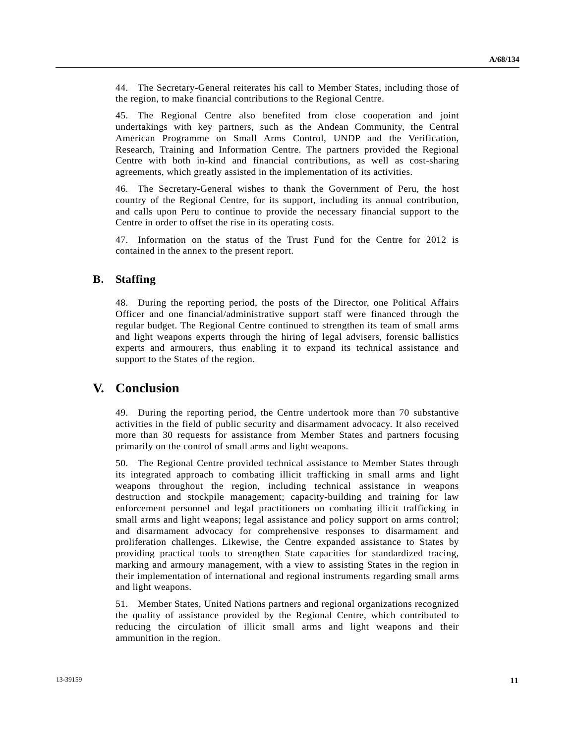44. The Secretary-General reiterates his call to Member States, including those of the region, to make financial contributions to the Regional Centre.

45. The Regional Centre also benefited from close cooperation and joint undertakings with key partners, such as the Andean Community, the Central American Programme on Small Arms Control, UNDP and the Verification, Research, Training and Information Centre. The partners provided the Regional Centre with both in-kind and financial contributions, as well as cost-sharing agreements, which greatly assisted in the implementation of its activities.

46. The Secretary-General wishes to thank the Government of Peru, the host country of the Regional Centre, for its support, including its annual contribution, and calls upon Peru to continue to provide the necessary financial support to the Centre in order to offset the rise in its operating costs.

47. Information on the status of the Trust Fund for the Centre for 2012 is contained in the annex to the present report.

### **B. Staffing**

48. During the reporting period, the posts of the Director, one Political Affairs Officer and one financial/administrative support staff were financed through the regular budget. The Regional Centre continued to strengthen its team of small arms and light weapons experts through the hiring of legal advisers, forensic ballistics experts and armourers, thus enabling it to expand its technical assistance and support to the States of the region.

## **V. Conclusion**

49. During the reporting period, the Centre undertook more than 70 substantive activities in the field of public security and disarmament advocacy. It also received more than 30 requests for assistance from Member States and partners focusing primarily on the control of small arms and light weapons.

50. The Regional Centre provided technical assistance to Member States through its integrated approach to combating illicit trafficking in small arms and light weapons throughout the region, including technical assistance in weapons destruction and stockpile management; capacity-building and training for law enforcement personnel and legal practitioners on combating illicit trafficking in small arms and light weapons; legal assistance and policy support on arms control; and disarmament advocacy for comprehensive responses to disarmament and proliferation challenges. Likewise, the Centre expanded assistance to States by providing practical tools to strengthen State capacities for standardized tracing, marking and armoury management, with a view to assisting States in the region in their implementation of international and regional instruments regarding small arms and light weapons.

51. Member States, United Nations partners and regional organizations recognized the quality of assistance provided by the Regional Centre, which contributed to reducing the circulation of illicit small arms and light weapons and their ammunition in the region.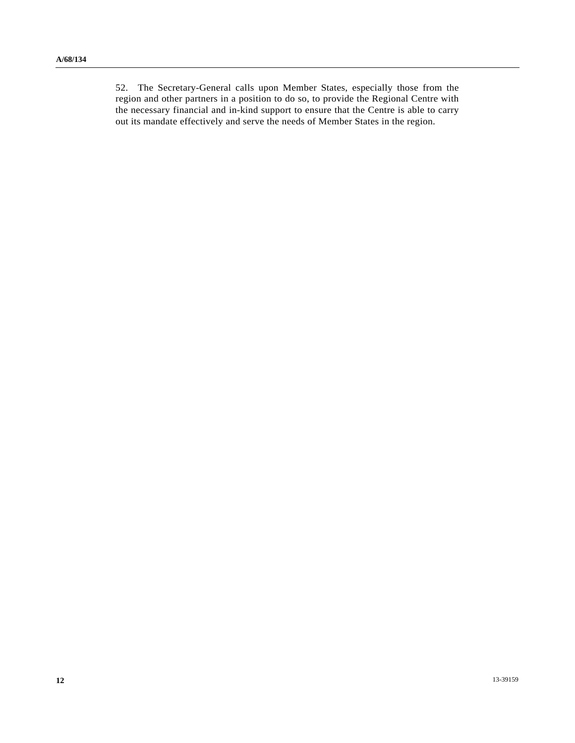52. The Secretary-General calls upon Member States, especially those from the region and other partners in a position to do so, to provide the Regional Centre with the necessary financial and in-kind support to ensure that the Centre is able to carry out its mandate effectively and serve the needs of Member States in the region.